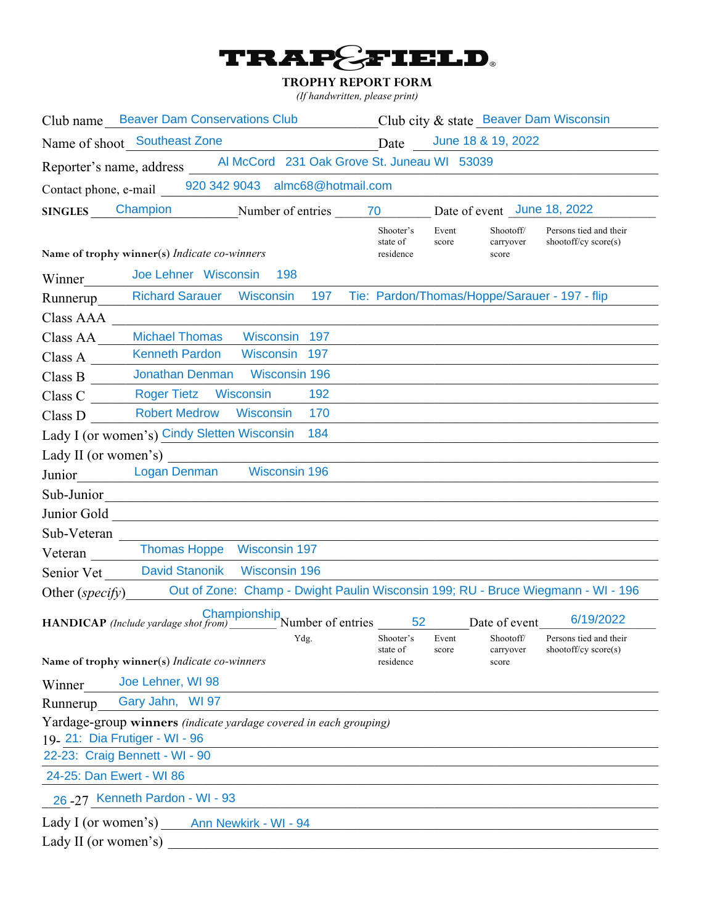

### **TROPHY REPORT FORM**

*(If handwritten, please print)*

| Club name Beaver Dam Conservations Club Club Club city & state Beaver Dam Wisconsin               |                                    |                |                                 |                                                |
|---------------------------------------------------------------------------------------------------|------------------------------------|----------------|---------------------------------|------------------------------------------------|
| Name of shoot Southeast Zone                                                                      | Date                               |                | June 18 & 19, 2022              |                                                |
| Reporter's name, address Al McCord 231 Oak Grove St. Juneau WI 53039                              |                                    |                |                                 |                                                |
| Contact phone, e-mail 920 342 9043 almc68@hotmail.com                                             |                                    |                |                                 |                                                |
| Champion Number of entries 70<br><b>SINGLES</b>                                                   | Date of event June 18, 2022        |                |                                 |                                                |
| Name of trophy winner(s) Indicate co-winners                                                      | Shooter's<br>state of<br>residence | Event<br>score | Shootoff/<br>carryover<br>score | Persons tied and their<br>shootoff/cy score(s) |
| Joe Lehner Wisconsin<br>198<br>Winner                                                             |                                    |                |                                 |                                                |
| 197 Tie: Pardon/Thomas/Hoppe/Sarauer - 197 - flip<br><b>Richard Sarauer Wisconsin</b><br>Runnerup |                                    |                |                                 |                                                |
| Class AAA                                                                                         |                                    |                |                                 |                                                |
| <b>Michael Thomas</b><br>Wisconsin<br>197<br>Class AA                                             |                                    |                |                                 |                                                |
| Kenneth Pardon Wisconsin 197<br>Class A                                                           |                                    |                |                                 |                                                |
| Jonathan Denman Wisconsin 196<br>Class B                                                          |                                    |                |                                 |                                                |
| <b>Roger Tietz Wisconsin</b><br>192<br>Class C                                                    |                                    |                |                                 |                                                |
| Class D Robert Medrow Wisconsin<br>170                                                            |                                    |                |                                 |                                                |
| Lady I (or women's) Cindy Sletten Wisconsin 184                                                   |                                    |                |                                 |                                                |
| Lady II (or women's)                                                                              |                                    |                |                                 |                                                |
| Junior Logan Denman Wisconsin 196                                                                 |                                    |                |                                 |                                                |
|                                                                                                   |                                    |                |                                 |                                                |
|                                                                                                   |                                    |                |                                 |                                                |
| Sub-Veteran                                                                                       |                                    |                |                                 |                                                |
| Thomas Hoppe Wisconsin 197<br>Veteran                                                             |                                    |                |                                 |                                                |
| David Stanonik Wisconsin 196<br>Senior Vet                                                        |                                    |                |                                 |                                                |
| Other (specify) Out of Zone: Champ - Dwight Paulin Wisconsin 199; RU - Bruce Wiegmann - WI - 196  |                                    |                |                                 |                                                |
| <b>HANDICAP</b> (Include yardage shot from) Number of entries                                     |                                    | 52 7           | Date of event                   | 6/19/2022                                      |
| Ydg.<br>Name of trophy winner(s) Indicate co-winners                                              | Shooter's<br>state of<br>residence | Event<br>score | Shootoff/<br>carryover<br>score | Persons tied and their<br>shootoff/cy score(s) |
| Joe Lehner, WI 98                                                                                 |                                    |                |                                 |                                                |
| Winner<br>Gary Jahn, WI 97<br>Runnerup                                                            |                                    |                |                                 |                                                |
| Yardage-group winners (indicate yardage covered in each grouping)                                 |                                    |                |                                 |                                                |
| 19. 21: Dia Frutiger - WI - 96                                                                    |                                    |                |                                 |                                                |
| 22-23: Craig Bennett - WI - 90                                                                    |                                    |                |                                 |                                                |
| 24-25: Dan Ewert - WI 86                                                                          |                                    |                |                                 |                                                |
| 26 - 27 Kenneth Pardon - WI - 93                                                                  |                                    |                |                                 |                                                |
| Lady I (or women's) Ann Newkirk - WI - 94                                                         |                                    |                |                                 |                                                |
| Lady II (or women's)                                                                              |                                    |                |                                 |                                                |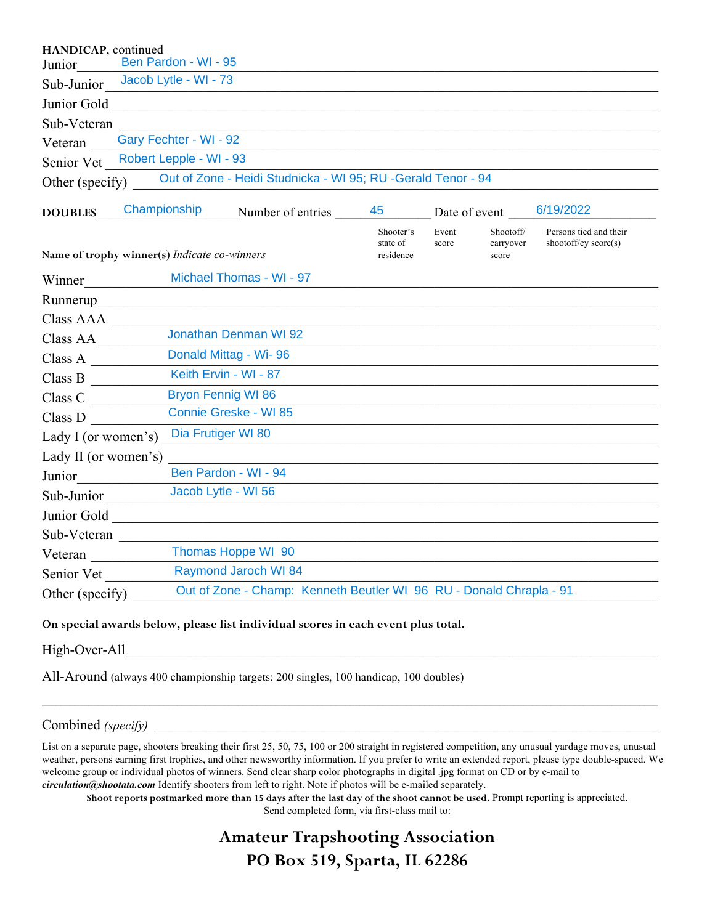| HANDICAP, continued  |                                              |                                                                     |                                    |                |                                 |                                                  |
|----------------------|----------------------------------------------|---------------------------------------------------------------------|------------------------------------|----------------|---------------------------------|--------------------------------------------------|
| Junior               | Ben Pardon - WI - 95                         |                                                                     |                                    |                |                                 |                                                  |
| Sub-Junior           | Jacob Lytle - WI - 73                        |                                                                     |                                    |                |                                 |                                                  |
| Junior Gold          |                                              | <u> 1980 - Andrea Station, amerikansk politik (d. 1980)</u>         |                                    |                |                                 |                                                  |
| Sub-Veteran          |                                              |                                                                     |                                    |                |                                 |                                                  |
| Veteran              | Gary Fechter - WI - 92                       |                                                                     |                                    |                |                                 |                                                  |
| Senior Vet           | Robert Lepple - WI - 93                      |                                                                     |                                    |                |                                 |                                                  |
| Other (specify)      |                                              | Out of Zone - Heidi Studnicka - WI 95; RU -Gerald Tenor - 94        |                                    |                |                                 |                                                  |
| <b>DOUBLES</b>       | Championship                                 | Number of entries                                                   | 45                                 | Date of event  |                                 | 6/19/2022                                        |
|                      | Name of trophy winner(s) Indicate co-winners |                                                                     | Shooter's<br>state of<br>residence | Event<br>score | Shootoff/<br>carryover<br>score | Persons tied and their<br>shootoff/cy $score(s)$ |
| Winner               |                                              | Michael Thomas - WI - 97                                            |                                    |                |                                 |                                                  |
| Runnerup             |                                              |                                                                     |                                    |                |                                 |                                                  |
| Class AAA            |                                              |                                                                     |                                    |                |                                 |                                                  |
| Class AA             |                                              | Jonathan Denman WI 92                                               |                                    |                |                                 |                                                  |
| Class A $\qquad$     |                                              | Donald Mittag - Wi-96                                               |                                    |                |                                 |                                                  |
| Class B              |                                              | Keith Ervin - WI - 87                                               |                                    |                |                                 |                                                  |
| Class C              | <b>Bryon Fennig WI 86</b>                    |                                                                     |                                    |                |                                 |                                                  |
| Class D              |                                              | Connie Greske - WI 85                                               |                                    |                |                                 |                                                  |
| Lady I (or women's)  | Dia Frutiger WI 80                           |                                                                     |                                    |                |                                 |                                                  |
| Lady II (or women's) |                                              |                                                                     |                                    |                |                                 |                                                  |
| Junior               |                                              | Ben Pardon - WI - 94                                                |                                    |                |                                 |                                                  |
| Sub-Junior           | Jacob Lytle - WI 56                          |                                                                     |                                    |                |                                 |                                                  |
| Junior Gold          |                                              |                                                                     |                                    |                |                                 |                                                  |
| Sub-Veteran          |                                              |                                                                     |                                    |                |                                 |                                                  |
| Veteran              |                                              | Thomas Hoppe WI 90                                                  |                                    |                |                                 |                                                  |
| Senior Vet           |                                              | <b>Raymond Jaroch WI 84</b>                                         |                                    |                |                                 |                                                  |
| Other (specify)      |                                              | Out of Zone - Champ: Kenneth Beutler WI 96 RU - Donald Chrapla - 91 |                                    |                |                                 |                                                  |

#### **On special awards below, please list individual scores in each event plus total.**

High-Over-All

All-Around (always 400 championship targets: 200 singles, 100 handicap, 100 doubles)

#### Combined *(specify)*

List on a separate page, shooters breaking their first 25, 50, 75, 100 or 200 straight in registered competition, any unusual yardage moves, unusual weather, persons earning first trophies, and other newsworthy information. If you prefer to write an extended report, please type double-spaced. We welcome group or individual photos of winners. Send clear sharp color photographs in digital .jpg format on CD or by e-mail to *circulation@shootata.com* Identify shooters from left to right. Note if photos will be e-mailed separately.

 $\mathcal{L}_\mathcal{L} = \mathcal{L}_\mathcal{L} = \mathcal{L}_\mathcal{L} = \mathcal{L}_\mathcal{L} = \mathcal{L}_\mathcal{L} = \mathcal{L}_\mathcal{L} = \mathcal{L}_\mathcal{L} = \mathcal{L}_\mathcal{L} = \mathcal{L}_\mathcal{L} = \mathcal{L}_\mathcal{L} = \mathcal{L}_\mathcal{L} = \mathcal{L}_\mathcal{L} = \mathcal{L}_\mathcal{L} = \mathcal{L}_\mathcal{L} = \mathcal{L}_\mathcal{L} = \mathcal{L}_\mathcal{L} = \mathcal{L}_\mathcal{L}$ 

**Shoot reports postmarked more than 15 days after the last day of the shoot cannot be used.** Prompt reporting is appreciated.

Send completed form, via first-class mail to:

# **Amateur Trapshooting Association PO Box 519, Sparta, IL 62286**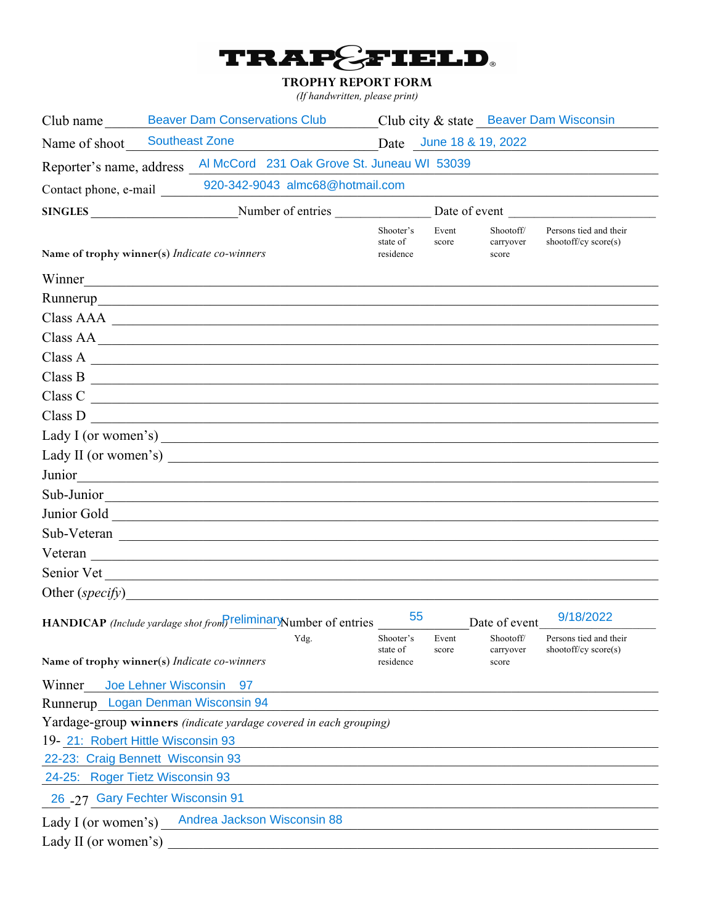

## **TROPHY REPORT FORM**

(If handwritten, please print)

|                                    | Club name Beaver Dam Conservations Club Club Club city & state Beaver Dam Wisconsin |                                             |                                    |                |                                 |                                                  |  |  |
|------------------------------------|-------------------------------------------------------------------------------------|---------------------------------------------|------------------------------------|----------------|---------------------------------|--------------------------------------------------|--|--|
| Name of shoot Southeast Zone       |                                                                                     | Date June 18 & 19, 2022                     |                                    |                |                                 |                                                  |  |  |
|                                    | Reporter's name, address Al McCord 231 Oak Grove St. Juneau WI 53039                |                                             |                                    |                |                                 |                                                  |  |  |
|                                    | Contact phone, e-mail 920-342-9043 almc68@hotmail.com                               |                                             |                                    |                |                                 |                                                  |  |  |
|                                    | SINGLES Number of entries                                                           |                                             | Date of event                      |                |                                 |                                                  |  |  |
|                                    | Name of trophy winner(s) Indicate co-winners                                        |                                             | Shooter's<br>state of<br>residence | Event<br>score | Shootoff/<br>carryover<br>score | Persons tied and their<br>shootoff/cy score(s)   |  |  |
|                                    | Winner                                                                              |                                             |                                    |                |                                 |                                                  |  |  |
|                                    |                                                                                     |                                             |                                    |                |                                 |                                                  |  |  |
|                                    | Class AAA                                                                           |                                             |                                    |                |                                 |                                                  |  |  |
|                                    | Class AA                                                                            |                                             |                                    |                |                                 |                                                  |  |  |
|                                    | $Class A$ $\overline{\phantom{a}}$                                                  |                                             |                                    |                |                                 |                                                  |  |  |
|                                    | $Class B$ $\overline{\phantom{a}}$                                                  |                                             |                                    |                |                                 |                                                  |  |  |
|                                    | Class C                                                                             |                                             |                                    |                |                                 |                                                  |  |  |
|                                    | Class D                                                                             |                                             |                                    |                |                                 |                                                  |  |  |
|                                    |                                                                                     |                                             |                                    |                |                                 |                                                  |  |  |
|                                    |                                                                                     |                                             |                                    |                |                                 |                                                  |  |  |
|                                    |                                                                                     |                                             |                                    |                |                                 |                                                  |  |  |
|                                    | Sub-Junior                                                                          |                                             |                                    |                |                                 |                                                  |  |  |
|                                    |                                                                                     |                                             |                                    |                |                                 |                                                  |  |  |
|                                    |                                                                                     |                                             |                                    |                |                                 |                                                  |  |  |
|                                    |                                                                                     |                                             |                                    |                |                                 |                                                  |  |  |
|                                    | Senior Vet                                                                          |                                             |                                    |                |                                 |                                                  |  |  |
|                                    |                                                                                     |                                             |                                    |                |                                 |                                                  |  |  |
|                                    | <b>HANDICAP</b> (Include yardage shot from) reliminar Number of entries             |                                             | 55                                 |                | Date of event                   | 9/18/2022                                        |  |  |
|                                    | Name of trophy winner(s) Indicate co-winners                                        | Ydg.                                        | Shooter's<br>state of<br>residence | Event<br>score | Shootoff/<br>carryover<br>score | Persons tied and their<br>shootoff/cy $score(s)$ |  |  |
| Winner                             | Joe Lehner Wisconsin<br>97                                                          |                                             |                                    |                |                                 |                                                  |  |  |
|                                    | Runnerup Logan Denman Wisconsin 94                                                  |                                             |                                    |                |                                 |                                                  |  |  |
|                                    | Yardage-group winners (indicate yardage covered in each grouping)                   |                                             |                                    |                |                                 |                                                  |  |  |
| 19- 21: Robert Hittle Wisconsin 93 |                                                                                     |                                             |                                    |                |                                 |                                                  |  |  |
|                                    | 22-23: Craig Bennett Wisconsin 93                                                   |                                             |                                    |                |                                 |                                                  |  |  |
| 24-25: Roger Tietz Wisconsin 93    |                                                                                     |                                             |                                    |                |                                 |                                                  |  |  |
|                                    | 26 -27 Gary Fechter Wisconsin 91                                                    |                                             |                                    |                |                                 |                                                  |  |  |
| Lady I (or women's)                | Andrea Jackson Wisconsin 88                                                         |                                             |                                    |                |                                 |                                                  |  |  |
| Lady II (or women's)               |                                                                                     | <u> 1980 - Jan Barbara Barbara, masa ka</u> |                                    |                |                                 |                                                  |  |  |
|                                    |                                                                                     |                                             |                                    |                |                                 |                                                  |  |  |